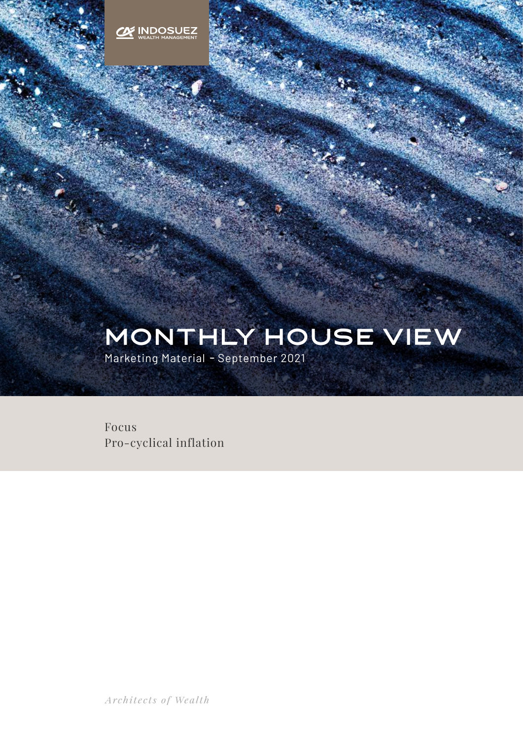

# MONTHLY HOUSE VIEw

Marketing Material **-** September 2021

Focus Pro-cyclical inflation

Architects of Wealth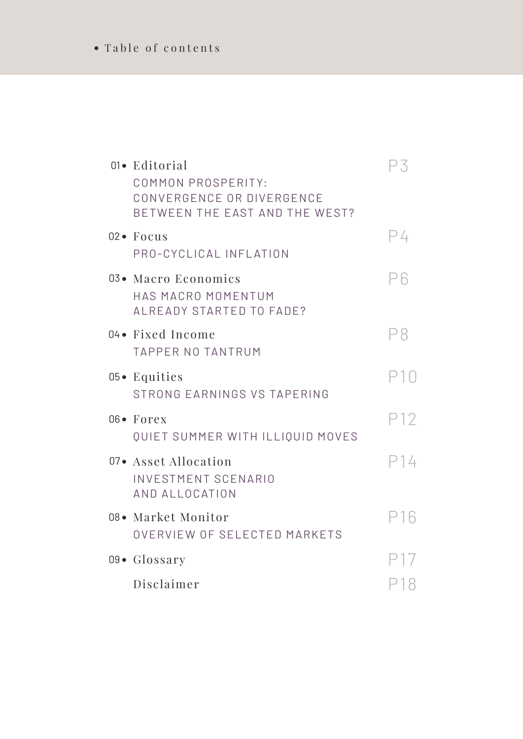## Table of contents

| 01• Editorial<br>COMMON PROSPERITY:<br>CONVERGENCE OR DIVERGENCE<br>BETWEEN THE EAST AND THE WEST? | P3  |
|----------------------------------------------------------------------------------------------------|-----|
| $02 \bullet$ Focus<br>PRO-CYCLICAL INFLATION                                                       | P4  |
| 03• Macro Economics<br>HAS MACRO MOMENTUM<br>ALREADY STARTED TO FADE?                              | Рĥ  |
| 04 • Fixed Income<br><b>TAPPER NO TANTRUM</b>                                                      | Р8  |
| $05 \bullet$ Equities<br>STRONG EARNINGS VS TAPERING                                               |     |
| $06 \bullet$ Forex<br>QUIET SUMMER WITH ILLIQUID MOVES                                             | P12 |
| 07• Asset Allocation<br><b>INVESTMENT SCENARIO</b><br>AND ALLOCATION                               | P14 |
| 08• Market Monitor<br>OVERVIEW OF SELECTED MARKETS                                                 | P16 |
| $09 \bullet$ Glossary                                                                              |     |
| Disclaimer                                                                                         | P18 |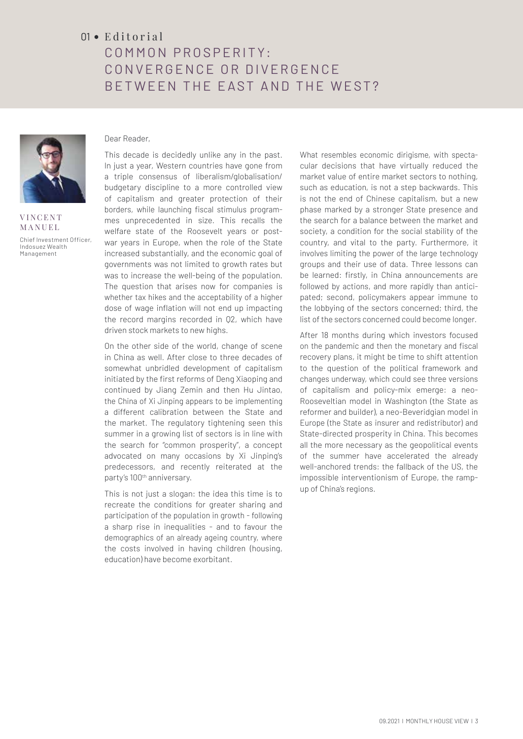## $01 \cdot$  Editorial

## COMMON PROSPERITY: CONVERGENCE OR DIVERGENCE BETWEEN THE EAST AND THE WEST?



**VINCENT** MANUEL Chief Investment Officer, Indosuez Wealth Management

#### Dear Reader,

This decade is decidedly unlike any in the past. In just a year, Western countries have gone from a triple consensus of liberalism/globalisation/ budgetary discipline to a more controlled view of capitalism and greater protection of their borders, while launching fiscal stimulus programmes unprecedented in size. This recalls the welfare state of the Roosevelt years or postwar years in Europe, when the role of the State increased substantially, and the economic goal of governments was not limited to growth rates but was to increase the well-being of the population. The question that arises now for companies is whether tax hikes and the acceptability of a higher dose of wage inflation will not end up impacting the record margins recorded in Q2, which have driven stock markets to new highs.

On the other side of the world, change of scene in China as well. After close to three decades of somewhat unbridled development of capitalism initiated by the first reforms of Deng Xiaoping and continued by Jiang Zemin and then Hu Jintao, the China of Xi Jinping appears to be implementing a different calibration between the State and the market. The regulatory tightening seen this summer in a growing list of sectors is in line with the search for "common prosperity", a concept advocated on many occasions by Xi Jinping's predecessors, and recently reiterated at the party's 100<sup>th</sup> anniversary.

This is not just a slogan: the idea this time is to recreate the conditions for greater sharing and participation of the population in growth - following a sharp rise in inequalities - and to favour the demographics of an already ageing country, where the costs involved in having children (housing, education) have become exorbitant.

What resembles economic dirigisme, with spectacular decisions that have virtually reduced the market value of entire market sectors to nothing, such as education, is not a step backwards. This is not the end of Chinese capitalism, but a new phase marked by a stronger State presence and the search for a balance between the market and society, a condition for the social stability of the country, and vital to the party. Furthermore, it involves limiting the power of the large technology groups and their use of data. Three lessons can be learned: firstly, in China announcements are followed by actions, and more rapidly than anticipated; second, policymakers appear immune to the lobbying of the sectors concerned; third, the list of the sectors concerned could become longer.

After 18 months during which investors focused on the pandemic and then the monetary and fiscal recovery plans, it might be time to shift attention to the question of the political framework and changes underway, which could see three versions of capitalism and policy-mix emerge: a neo-Rooseveltian model in Washington (the State as reformer and builder), a neo-Beveridgian model in Europe (the State as insurer and redistributor) and State-directed prosperity in China. This becomes all the more necessary as the geopolitical events of the summer have accelerated the already well-anchored trends: the fallback of the US, the impossible interventionism of Europe, the rampup of China's regions.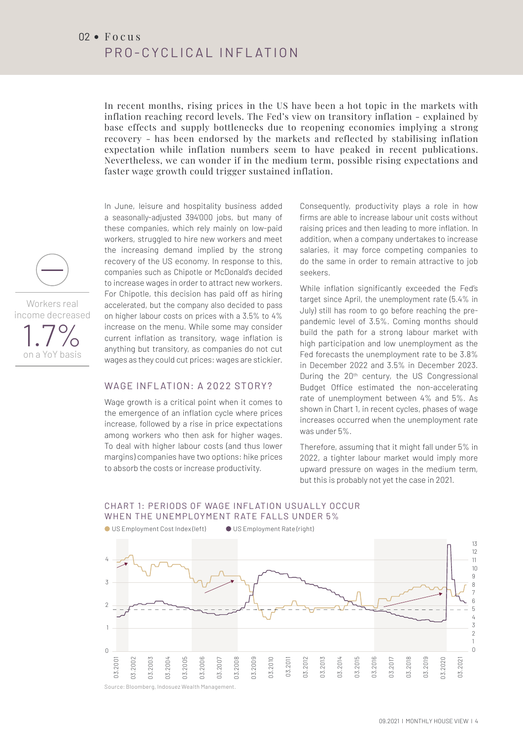In recent months, rising prices in the US have been a hot topic in the markets with inflation reaching record levels. The Fed's view on transitory inflation - explained by base effects and supply bottlenecks due to reopening economies implying a strong recovery - has been endorsed by the markets and reflected by stabilising inflation expectation while inflation numbers seem to have peaked in recent publications. Nevertheless, we can wonder if in the medium term, possible rising expectations and faster wage growth could trigger sustained inflation.

In June, leisure and hospitality business added a seasonally-adjusted 394'000 jobs, but many of these companies, which rely mainly on low-paid workers, struggled to hire new workers and meet the increasing demand implied by the strong recovery of the US economy. In response to this, companies such as Chipotle or McDonald's decided to increase wages in order to attract new workers. For Chipotle, this decision has paid off as hiring accelerated, but the company also decided to pass on higher labour costs on prices with a 3.5% to 4% increase on the menu. While some may consider current inflation as transitory, wage inflation is anything but transitory, as companies do not cut wages as they could cut prices: wages are stickier.

### WAGE INFLATION: A 2022 STORY?

Wage growth is a critical point when it comes to the emergence of an inflation cycle where prices increase, followed by a rise in price expectations among workers who then ask for higher wages. To deal with higher labour costs (and thus lower margins) companies have two options: hike prices margine, companies have the options. This p

Consequently, productivity plays a role in how firms are able to increase labour unit costs without raising prices and then leading to more inflation. In addition, when a company undertakes to increase salaries, it may force competing companies to do the same in order to remain attractive to job seekers.

While inflation significantly exceeded the Fed's target since April, the unemployment rate (5.4% in July) still has room to go before reaching the prepandemic level of 3.5%. Coming months should build the path for a strong labour market with high participation and low unemployment as the Fed forecasts the unemployment rate to be 3.8% in December 2022 and 3.5% in December 2023. During the 20<sup>th</sup> century, the US Congressional Budget Office estimated the non-accelerating rate of unemployment between 4% and 5%. As shown in Chart 1, in recent cycles, phases of wage increases occurred when the unemployment rate was under 5%.

Therefore, assuming that it might fall under 5% in 2022, a tighter labour market would imply more upward pressure on wages in the medium term, but this is probably not yet the case in 2021.

### CHART 1: PERIODS OF WAGE INFLATION USUALLY OCCUR WHEN THE UNEMPLOYMENT RATE FALLS UNDER 5%



Workers real

1.7% on a YoY basis

income decreased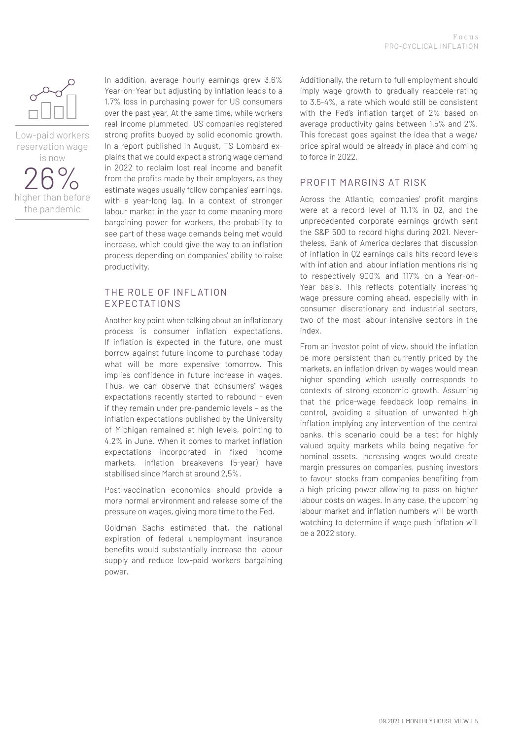

Low-paid workers reservation wage is now  $\cap$   $\cap$ 

higher than before the pandemic

In addition, average hourly earnings grew 3.6% Year-on-Year but adjusting by inflation leads to a 1.7% loss in purchasing power for US consumers over the past year. At the same time, while workers real income plummeted, US companies registered strong profits buoyed by solid economic growth. In a report published in August, TS Lombard explains that we could expect a strong wage demand in 2022 to reclaim lost real income and benefit from the profits made by their employers, as they estimate wages usually follow companies' earnings, with a year-long lag. In a context of stronger labour market in the year to come meaning more bargaining power for workers, the probability to see part of these wage demands being met would increase, which could give the way to an inflation process depending on companies' ability to raise productivity.

#### THE ROLE OF INFLATION EXPECTATIONS

Another key point when talking about an inflationary process is consumer inflation expectations. If inflation is expected in the future, one must borrow against future income to purchase today what will be more expensive tomorrow. This implies confidence in future increase in wages. Thus, we can observe that consumers' wages expectations recently started to rebound - even if they remain under pre-pandemic levels – as the inflation expectations published by the University of Michigan remained at high levels, pointing to 4.2% in June. When it comes to market inflation expectations incorporated in fixed income markets, inflation breakevens (5-year) have stabilised since March at around 2,5%.

Post-vaccination economics should provide a more normal environment and release some of the pressure on wages, giving more time to the Fed.

Goldman Sachs estimated that, the national expiration of federal unemployment insurance benefits would substantially increase the labour supply and reduce low-paid workers bargaining power.

Additionally, the return to full employment should imply wage growth to gradually reaccele-rating to 3.5-4%, a rate which would still be consistent with the Fed's inflation target of 2% based on average productivity gains between 1.5% and 2%. This forecast goes against the idea that a wage/ price spiral would be already in place and coming to force in 2022.

#### PROFIT MARGINS AT RISK

Across the Atlantic, companies' profit margins were at a record level of 11.1% in Q2, and the unprecedented corporate earnings growth sent the S&P 500 to record highs during 2021. Nevertheless, Bank of America declares that discussion of inflation in Q2 earnings calls hits record levels with inflation and labour inflation mentions rising to respectively 900% and 117% on a Year-on-Year basis. This reflects potentially increasing wage pressure coming ahead, especially with in consumer discretionary and industrial sectors, two of the most labour-intensive sectors in the index.

From an investor point of view, should the inflation be more persistent than currently priced by the markets, an inflation driven by wages would mean higher spending which usually corresponds to contexts of strong economic growth. Assuming that the price-wage feedback loop remains in control, avoiding a situation of unwanted high inflation implying any intervention of the central banks, this scenario could be a test for highly valued equity markets while being negative for nominal assets. Increasing wages would create margin pressures on companies, pushing investors to favour stocks from companies benefiting from a high pricing power allowing to pass on higher labour costs on wages. In any case, the upcoming labour market and inflation numbers will be worth watching to determine if wage push inflation will be a 2022 story.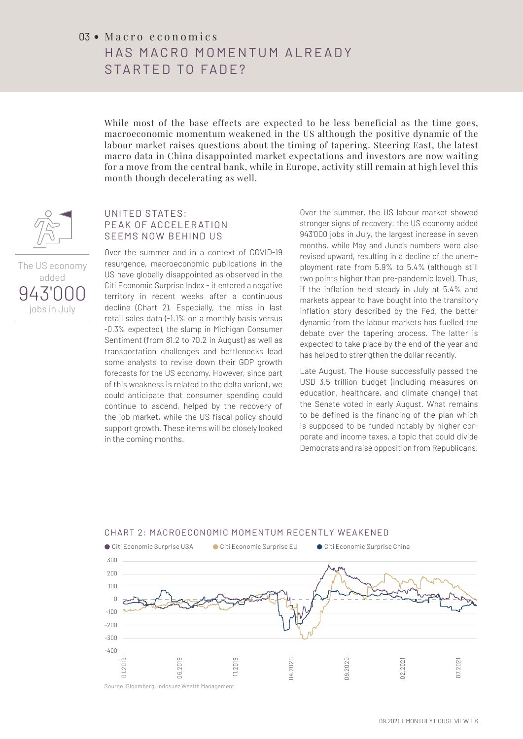## $03$   $\bullet$  M a c r o e c o n o m i c s HAS MACRO MOMENTUM AI READY STARTED TO FADE?

While most of the base effects are expected to be less beneficial as the time goes, macroeconomic momentum weakened in the US although the positive dynamic of the labour market raises questions about the timing of tapering. Steering East, the latest macro data in China disappointed market expectations and investors are now waiting for a move from the central bank, while in Europe, activity still remain at high level this month though decelerating as well.



The US economy added 943'00

jobs in July

#### UNITED STATES: PEAK OF ACCELERATION SEEMS NOW BEHIND US

Over the summer and in a context of COVID-19 resurgence, macroeconomic publications in the US have globally disappointed as observed in the Citi Economic Surprise Index - it entered a negative territory in recent weeks after a continuous decline (Chart 2). Especially, the miss in last retail sales data (-1.1% on a monthly basis versus -0.3% expected), the slump in Michigan Consumer Sentiment (from 81.2 to 70.2 in August) as well as transportation challenges and bottlenecks lead some analysts to revise down their GDP growth forecasts for the US economy. However, since part of this weakness is related to the delta variant, we 2 could anticipate that consumer spending could continue to ascend, helped by the recovery of 1 the job market, while the US fiscal policy should support growth. These items will be closely looked 0 in the coming months.<br>  $\ddot{\phantom{0}}$ 

Over the summer, the US labour market showed stronger signs of recovery: the US economy added 943'000 jobs in July, the largest increase in seven months, while May and June's numbers were also revised upward, resulting in a decline of the unemployment rate from 5.9% to 5.4% (although still two points higher than pre-pandemic level). Thus,<br>if the inflation hald standy in July at  $5/%$  and two points nigher than pre-pandemic level). Thus,<br>if the inflation held steady in July at 5.4% and markets appear to have bought into the transitory inflation story described by the Fed, the better dynamic from the labour markets has fuelled the debate over the tapering process. The latter is expected to take place by the end of the year and has helped to strengthen the dollar recently.  $\overline{1}$ 

Late August, The House successfully passed the USD 3.5 trillion budget (including measures on education, healthcare, and climate change) that the Senate voted in early August. What remains to be defined is the financing of the plan which is supposed to be funded notably by higher corporate and income taxes, a topic that could divide Democrats and raise opposition from Republicans.



#### CHART 2: MACROECONOMIC MOMENTUM RECENTLY WEAKENED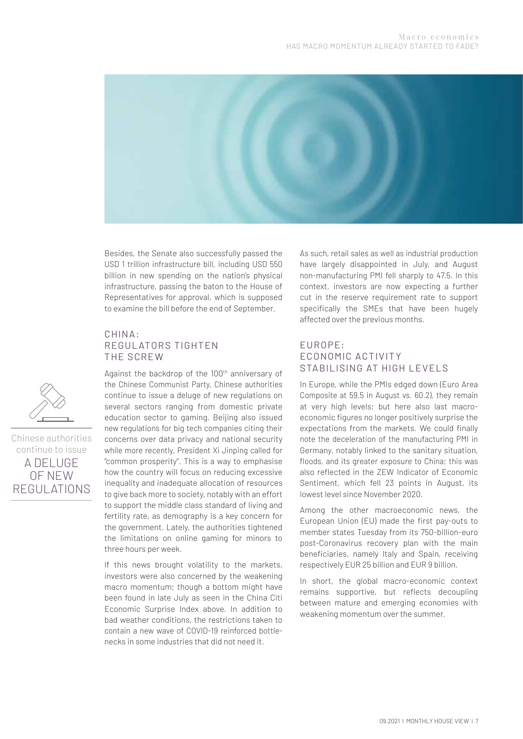

Besides, the Senate also successfully passed the USD 1 trillion infrastructure bill, including USD 550 billion in new spending on the nation's physical infrastructure, passing the baton to the House of Representatives for approval, which is supposed to examine the bill before the end of September.

#### CHIN A: REGULATORS TIGHTEN THE SCREW

Against the backdrop of the 100<sup>th</sup> anniversary of the Chinese Communist Party, Chinese authorities continue to issue a deluge of new regulations on several sectors ranging from domestic private education sector to gaming. Beijing also issued new regulations for big tech companies citing their concerns over data privacy and national security while more recently, President Xi Jinping called for "common prosperity". This is a way to emphasise how the country will focus on reducing excessive inequality and inadequate allocation of resources to give back more to society, notably with an effort to support the middle class standard of living and fertility rate, as demography is a key concern for the government. Lately, the authorities tightened the limitations on online gaming for minors to three hours per week.

If this news brought volatility to the markets, investors were also concerned by the weakening macro momentum; though a bottom might have been found in late July as seen in the China Citi Economic Surprise Index above. In addition to bad weather conditions, the restrictions taken to contain a new wave of COVID-19 reinforced bottlenecks in some industries that did not need it.

As such, retail sales as well as industrial production have largely disappointed in July, and August non-manufacturing PMI fell sharply to 47.5. In this context, investors are now expecting a further cut in the reserve requirement rate to support specifically the SMEs that have been hugely affected over the previous months.

#### EUR OP E: ECONOMIC ACTIVITY STABILISING AT HIGH LEVELS

In Europe, while the PMIs edged down (Euro Area Composite at 59.5 in August vs. 60.2), they remain at very high levels; but here also last macroeconomic figures no longer positively surprise the expectations from the markets. We could finally note the deceleration of the manufacturing PMI in Germany, notably linked to the sanitary situation, floods, and its greater exposure to China; this was also reflected in the ZEW Indicator of Economic Sentiment, which fell 23 points in August, its lowest level since November 2020.

Among the other macroeconomic news, the European Union (EU) made the first pay-outs to member states Tuesday from its 750-billion-euro post-Coronavirus recovery plan with the main beneficiaries, namely Italy and Spain, receiving respectively EUR 25 billion and EUR 9 billion.

In short, the global macro-economic context remains supportive, but reflects decoupling between mature and emerging economies with weakening momentum over the summer.



Chinese authorities continue to issue A DELUGE OF NEW REGULATIONS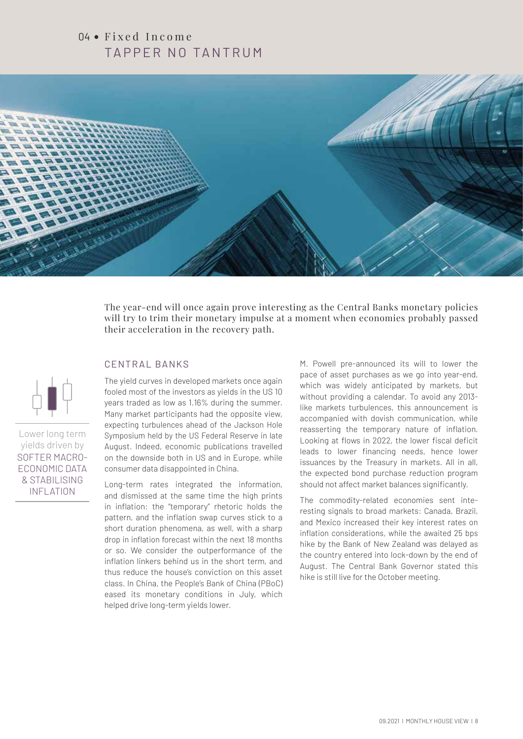## 04 · Fixed Income TAPPER NO TANTRUM



The year-end will once again prove interesting as the Central Banks monetary policies will try to trim their monetary impulse at a moment when economies probably passed their acceleration in the recovery path.

#### CENTRAL BANKS

The yield curves in developed markets once again fooled most of the investors as yields in the US 10 years traded as low as 1.16% during the summer. Many market participants had the opposite view, expecting turbulences ahead of the Jackson Hole Symposium held by the US Federal Reserve in late August. Indeed, economic publications travelled on the downside both in US and in Europe, while consumer data disappointed in China.

Long-term rates integrated the information, and dismissed at the same time the high prints in inflation: the "temporary" rhetoric holds the pattern, and the inflation swap curves stick to a short duration phenomena, as well, with a sharp drop in inflation forecast within the next 18 months or so. We consider the outperformance of the inflation linkers behind us in the short term, and thus reduce the house's conviction on this asset class. In China, the People's Bank of China (PBoC) eased its monetary conditions in July, which helped drive long-term yields lower.

M. Powell pre-announced its will to lower the pace of asset purchases as we go into year-end, which was widely anticipated by markets, but without providing a calendar. To avoid any 2013 like markets turbulences, this announcement is accompanied with dovish communication, while reasserting the temporary nature of inflation. Looking at flows in 2022, the lower fiscal deficit leads to lower financing needs, hence lower issuances by the Treasury in markets. All in all, the expected bond purchase reduction program should not affect market balances significantly.

The commodity-related economies sent interesting signals to broad markets: Canada, Brazil, and Mexico increased their key interest rates on inflation considerations, while the awaited 25 bps hike by the Bank of New Zealand was delayed as the country entered into lock-down by the end of August. The Central Bank Governor stated this hike is still live for the October meeting.

Lower long term yields driven by SOFTER MACRO-ECONOMIC DATA & STABILISING INFLATION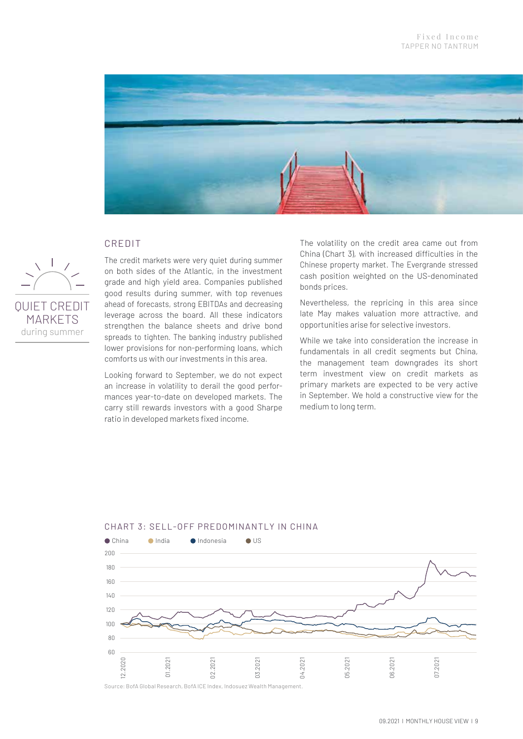

#### CREDIT



CREDIT<br>The credit markets were very quiet during summer on both sides of the Atlantic, in the investment grade and high yield area. Companies published good results during summer, with top revenues ahead of forecasts, strong EBITDAs and decreasing leverage across the board. All these indicators strengthen the balance sheets and drive bond spreads to tighten. The banking industry published lower provisions for non-performing loans, which comforts us with our investments in this area. 300

Looking forward to September, we do not expect an increase in volatility to derail the good perfor-100 mances year-to-date on developed markets. The mansee year to date on accepped manneter the carry still rewards investors with a good Sharpe ratio in developed markets fixed income.

The volatility on the credit area came out from The volatility on the credit area came out from<br>China (Chart 3), with increased difficulties in the Chinese property market. The Evergrande stressed cash position weighted on the US-denominated bonds prices.

Nevertheless, the repricing in this area since late May makes valuation more attractive, and opportunities arise for selective investors.

While we take into consideration the increase in fundamentals in all credit segments but China, the management team downgrades its short term investment view on credit markets as primary markets are expected to be very active in September. We hold a constructive view for the medium to long term.



#### CHART 3: SELL-OFF PREDOMINANTLY IN CHINA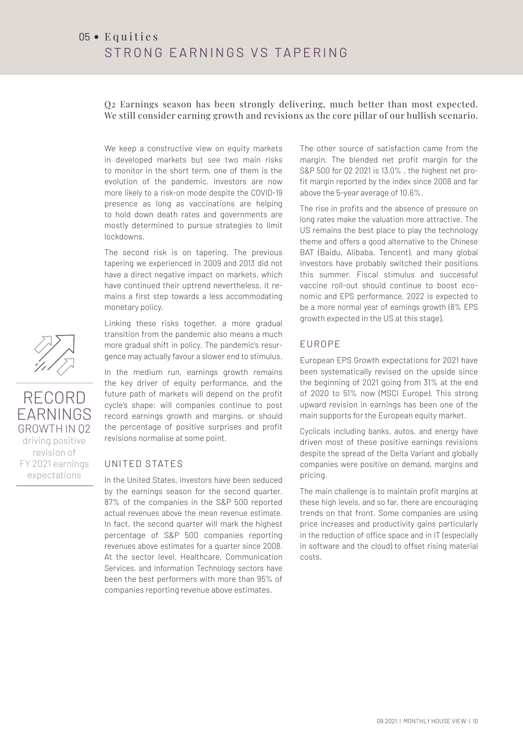Q2 Earnings season has been strongly delivering, much better than most expected. We still consider earning growth and revisions as the core pillar of our bullish scenario.

We keep a constructive view on equity markets in developed markets but see two main risks to monitor in the short term, one of them is the evolution of the pandemic. Investors are now more likely to a risk-on mode despite the COVID-19 presence as long as vaccinations are helping to hold down death rates and governments are mostly determined to pursue strategies to limit lockdowns.

The second risk is on tapering. The previous tapering we experienced in 2009 and 2013 did not have a direct negative impact on markets, which have continued their uptrend nevertheless, it remains a first step towards a less accommodating monetary policy.

Linking these risks together, a more gradual transition from the pandemic also means a much more gradual shift in policy. The pandemic's resurgence may actually favour a slower end to stimulus.

In the medium run, earnings growth remains the key driver of equity performance, and the future path of markets will depend on the profit cycle's shape: will companies continue to post record earnings growth and margins, or should the percentage of positive surprises and profit revisions normalise at some point.

#### UNITED STATES

In the United States, investors have been seduced by the earnings season for the second quarter. 87% of the companies in the S&P 500 reported actual revenues above the mean revenue estimate. In fact, the second quarter will mark the highest percentage of S&P 500 companies reporting revenues above estimates for a quarter since 2008. At the sector level, Healthcare, Communication Services, and Information Technology sectors have been the best performers with more than 95% of companies reporting revenue above estimates.

The other source of satisfaction came from the margin. The blended net profit margin for the S&P 500 for Q2 2021 is 13.0% , the highest net profit margin reported by the index since 2008 and far above the 5-year average of 10.6%.

The rise in profits and the absence of pressure on long rates make the valuation more attractive. The US remains the best place to play the technology theme and offers a good alternative to the Chinese BAT (Baidu, Alibaba, Tencent), and many global investors have probably switched their positions this summer. Fiscal stimulus and successful vaccine roll-out should continue to boost economic and EPS performance. 2022 is expected to be a more normal year of earnings growth (8% EPS growth expected in the US at this stage).

#### EUROPE

European EPS Growth expectations for 2021 have been systematically revised on the upside since the beginning of 2021 going from 31% at the end of 2020 to 51% now (MSCI Europe). This strong upward revision in earnings has been one of the main supports for the European equity market.

Cyclicals including banks, autos, and energy have driven most of these positive earnings revisions despite the spread of the Delta Variant and globally companies were positive on demand, margins and pricing.

The main challenge is to maintain profit margins at these high levels, and so far, there are encouraging trends on that front. Some companies are using price increases and productivity gains particularly in the reduction of office space and in IT (especially in software and the cloud) to offset rising material costs.



RECORD EARNINGS GROWTH IN Q2 driving positive revision of FY 2021 earnings expectations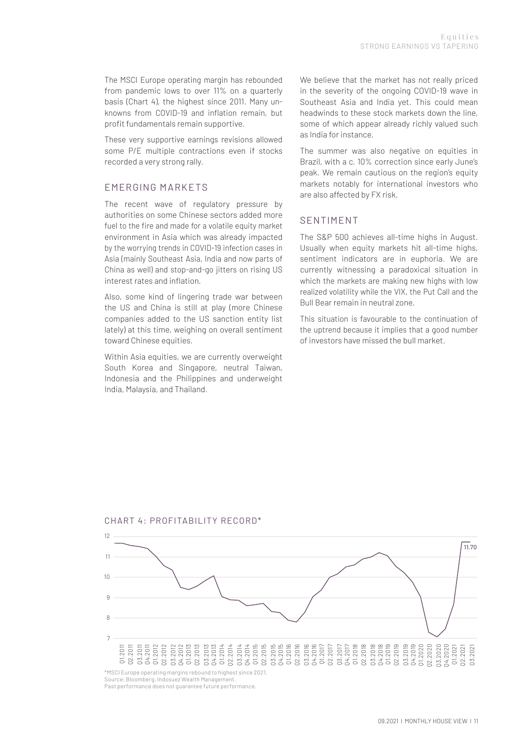The MSCI Europe operating margin has rebounded from pandemic lows to over 11% on a quarterly basis (Chart 4), the highest since 2011. Many unknowns from COVID-19 and inflation remain, but profit fundamentals remain supportive. fr<br>ba<br>kr<br>Th<br>Th

These very supportive earnings revisions allowed some P/E multiple contractions even if stocks recorded a very strong rally.

## **EMERGING MARKETS**

The recent wave of regulatory pressure by authorities on some Chinese sectors added more fuel to the fire and made for a volatile equity market environment in Asia which was already impacted by the worrying trends in COVID-19 infection cases in Asia (mainly Southeast Asia, India and now parts of China as well) and stop-and-go jitters on rising US interest rates and inflation. 40

Also, some kind of lingering trade war between the US and China is still at play (more Chinese companies added to the US sanction entity list lately) at this time, weighing on overall sentiment toward Chinese equities.

Within Asia equities, we are currently overweight South Korea and Singapore, neutral Taiwan, Indonesia and the Philippines and underweight India, Malaysia, and Thailand.

We believe that the market has not really priced in the severity of the ongoing COVID-19 wave in Southeast Asia and India yet. This could mean headwinds to these stock markets down the line, some of which appear already richly valued such as India for instance.

as mara for mistance.<br>The summer was also negative on equities in The summer was also negative on equities in Brazil, with a c. 10% correction since early June's peak. We remain cautious on the region's equity pean. We remain cautious on the regions equity<br>markets notably for international investors who<br>are also affected by EX risk are also affected by FX risk.

#### **SENTIMENT**

The S&P 500 achieves all-time highs in August. Usually when equity markets hit all-time highs, sentiment indicators are in euphoria. We are currently witnessing a paradoxical situation in which the markets are making new highs with low realized volatility while the VIX, the Put Call and the Bull Bear remain in neutral zone.

This situation is favourable to the continuation of the uptrend because it implies that a good number of investors have missed the bull market.

CHART 4: PROFITABILITY RECORD\*

12



Source: Bloomberg, Indosuez Wealth Management. Past performance does not guarantee future performance.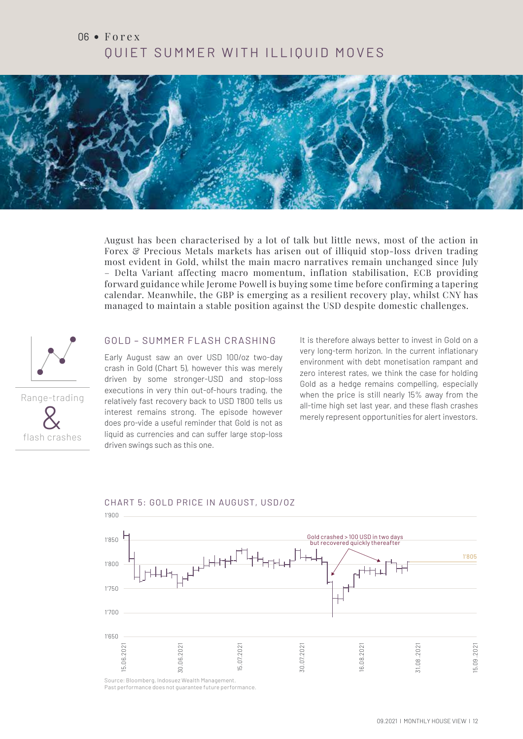## 06 • Forex QUIET SUMMER WITH ILLIQUID MOVES



August has been characterised by a lot of talk but little news, most of the action in Forex & Precious Metals markets has arisen out of illiquid stop-loss driven trading most evident in Gold, whilst the main macro narratives remain unchanged since July – Delta Variant affecting macro momentum, inflation stabilisation, ECB providing forward guidance while Jerome Powell is buying some time before confirming a tapering 12 calendar. Meanwhile, the GBP is emerging as a resilient recovery play, whilst CNY has managed to maintain a stable position against the USD despite domestic challenges. 11



#### GOLD – SUMMER FLASH CRASHING

Early August saw an over USD 100/oz two-day crash in Gold (Chart 5), however this was merely 8 driven by some stronger-USD and stop-loss executions in very thin out-of-hours trading, the relatively fast recovery back to USD 1'800 tells us relatively fast recovery back to USD 1'800 tells us<br>interest remains strong. The episode however does pro-vide a useful reminder that Gold is not as liquid as currencies and can suffer large stop-loss driven swings such as this one.

It is therefore always better to invest in Gold on a very long-term horizon. In the current inflationary environment with debt monetisation rampant and zero interest rates, we think the case for holding Gold as a hedge remains compelling, especially when the price is still nearly 15% away from the when the price is sum hearly 15% away from the<br>all-time high set last year, and these flash crashes<br>merely represent opportunities for alert investors merely represent opportunities for alert investors.



#### CHART 5: GOLD PRICE IN AUGUST, USD/OZ

Past performance does not guarantee future performance.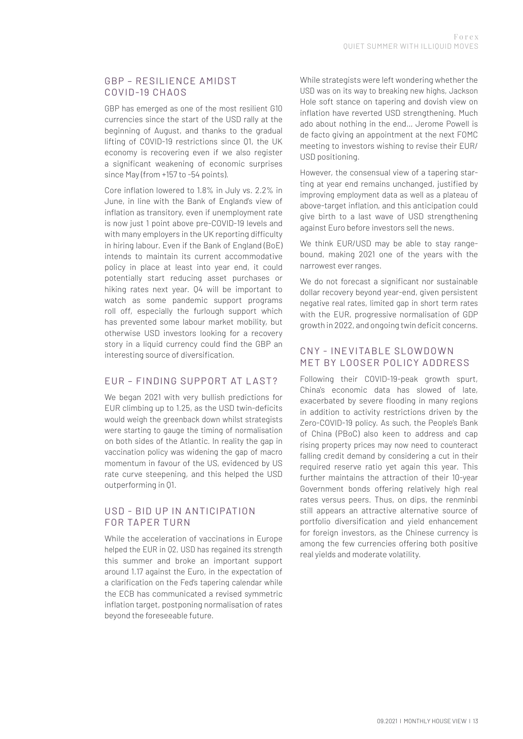#### GBP - RESILIENCE AMIDST COVID-19 CHAOS

GBP has emerged as one of the most resilient G10 currencies since the start of the USD rally at the beginning of August, and thanks to the gradual lifting of COVID-19 restrictions since Q1, the UK economy is recovering even if we also register a significant weakening of economic surprises since May (from +157 to -54 points).

Core inflation lowered to 1.8% in July vs. 2.2% in June, in line with the Bank of England's view of inflation as transitory, even if unemployment rate is now just 1 point above pre-COVID-19 levels and with many employers in the UK reporting difficulty in hiring labour. Even if the Bank of England (BoE) intends to maintain its current accommodative policy in place at least into year end, it could potentially start reducing asset purchases or hiking rates next year. Q4 will be important to watch as some pandemic support programs roll off, especially the furlough support which has prevented some labour market mobility, but otherwise USD investors looking for a recovery story in a liquid currency could find the GBP an interesting source of diversification.

#### EUR – FINDING SUPPORT AT L AST?

We began 2021 with very bullish predictions for EUR climbing up to 1.25, as the USD twin-deficits would weigh the greenback down whilst strategists were starting to gauge the timing of normalisation on both sides of the Atlantic. In reality the gap in vaccination policy was widening the gap of macro momentum in favour of the US, evidenced by US rate curve steepening, and this helped the USD outperforming in Q1.

#### USD - BID UP IN ANTICIPATION FOR TAPER TURN

While the acceleration of vaccinations in Europe helped the EUR in Q2, USD has regained its strength this summer and broke an important support around 1.17 against the Euro, in the expectation of a clarification on the Fed's tapering calendar while the ECB has communicated a revised symmetric inflation target, postponing normalisation of rates beyond the foreseeable future.

While strategists were left wondering whether the USD was on its way to breaking new highs, Jackson Hole soft stance on tapering and dovish view on inflation have reverted USD strengthening. Much ado about nothing in the end… Jerome Powell is de facto giving an appointment at the next FOMC meeting to investors wishing to revise their EUR/ USD positioning.

However, the consensual view of a tapering starting at year end remains unchanged, justified by improving employment data as well as a plateau of above-target inflation, and this anticipation could give birth to a last wave of USD strengthening against Euro before investors sell the news.

We think EUR/USD may be able to stay rangebound, making 2021 one of the years with the narrowest ever ranges.

We do not forecast a significant nor sustainable dollar recovery beyond year-end, given persistent negative real rates, limited gap in short term rates with the EUR, progressive normalisation of GDP growth in 2022, and ongoing twin deficit concerns.

#### CNY - INEVITABLE SLOWDOWN MET BY LOOSER POLICY ADDRESS

Following their COVID-19-peak growth spurt, China's economic data has slowed of late, exacerbated by severe flooding in many regions in addition to activity restrictions driven by the Zero-COVID-19 policy. As such, the People's Bank of China (PBoC) also keen to address and cap rising property prices may now need to counteract falling credit demand by considering a cut in their required reserve ratio yet again this year. This further maintains the attraction of their 10-year Government bonds offering relatively high real rates versus peers. Thus, on dips, the renminbi still appears an attractive alternative source of portfolio diversification and yield enhancement for foreign investors, as the Chinese currency is among the few currencies offering both positive real yields and moderate volatility.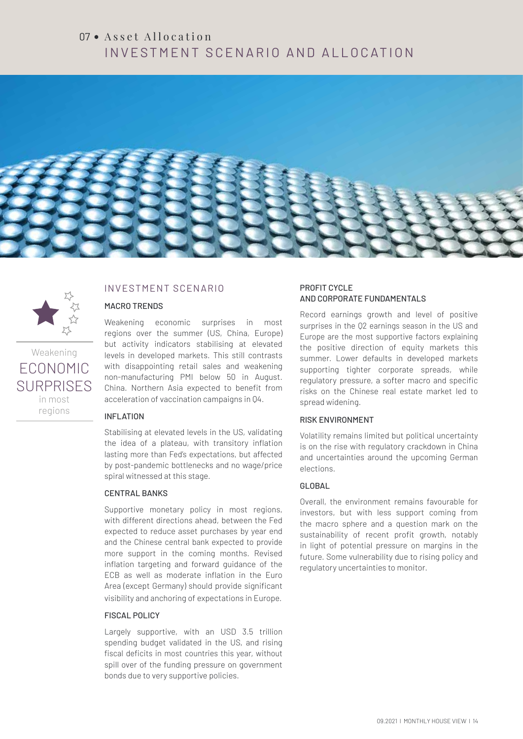## $07 \cdot$  Asset Allocation INVESTMENT SCENARIO AND ALLOCATION





## Weakening ECONOMIC

SURPRISES in most regions

#### INVESTMENT SCENARIO

#### MACRO TRENDS

Weakening economic surprises in most regions over the summer (US, China, Europe) but activity indicators stabilising at elevated levels in developed markets. This still contrasts with disappointing retail sales and weakening non-manufacturing PMI below 50 in August. China. Northern Asia expected to benefit from acceleration of vaccination campaigns in Q4.

#### INFLATION

Stabilising at elevated levels in the US, validating the idea of a plateau, with transitory inflation lasting more than Fed's expectations, but affected by post-pandemic bottlenecks and no wage/price spiral witnessed at this stage.

#### CENTRAL BANKS

Supportive monetary policy in most regions, with different directions ahead, between the Fed expected to reduce asset purchases by year end and the Chinese central bank expected to provide more support in the coming months. Revised inflation targeting and forward guidance of the ECB as well as moderate inflation in the Euro Area (except Germany) should provide significant visibility and anchoring of expectations in Europe.

#### FISCAL POLICY

Largely supportive, with an USD 3.5 trillion spending budget validated in the US, and rising fiscal deficits in most countries this year, without spill over of the funding pressure on government bonds due to very supportive policies.

#### PROFIT CYCLE AND CORPORATE FUNDAMENTALS

Record earnings growth and level of positive surprises in the Q2 earnings season in the US and Europe are the most supportive factors explaining the positive direction of equity markets this summer. Lower defaults in developed markets supporting tighter corporate spreads, while regulatory pressure, a softer macro and specific risks on the Chinese real estate market led to spread widening.

#### RISK ENVIRONMENT

Volatility remains limited but political uncertainty is on the rise with regulatory crackdown in China and uncertainties around the upcoming German elections.

#### GLOBAL

Overall, the environment remains favourable for investors, but with less support coming from the macro sphere and a question mark on the sustainability of recent profit growth, notably in light of potential pressure on margins in the future. Some vulnerability due to rising policy and regulatory uncertainties to monitor.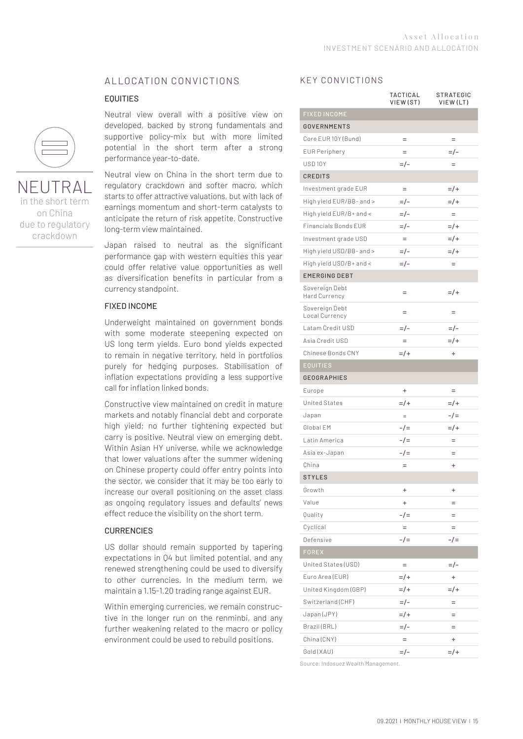#### ALLOCATION CONVICTIONS

#### EQUITIES



NEUTRAL in the short term on China due to regulatory crackdown

Neutral view overall with a positive view on developed, backed by strong fundamentals and supportive policy-mix but with more limited potential in the short term after a strong performance year-to-date.

Neutral view on China in the short term due to regulatory crackdown and softer macro, which starts to offer attractive valuations, but with lack of earnings momentum and short-term catalysts to anticipate the return of risk appetite. Constructive long-term view maintained.

Japan raised to neutral as the significant performance gap with western equities this year could offer relative value opportunities as well as diversification benefits in particular from a currency standpoint.

#### FIXED INCOME

Underweight maintained on government bonds with some moderate steepening expected on US long term yields. Euro bond yields expected to remain in negative territory, held in portfolios purely for hedging purposes. Stabilisation of inflation expectations providing a less supportive call for inflation linked bonds.

Constructive view maintained on credit in mature markets and notably financial debt and corporate high yield; no further tightening expected but carry is positive. Neutral view on emerging debt. Within Asian HY universe, while we acknowledge that lower valuations after the summer widening on Chinese property could offer entry points into the sector, we consider that it may be too early to increase our overall positioning on the asset class as ongoing regulatory issues and defaults' news effect reduce the visibility on the short term.

#### **CURRENCIES**

US dollar should remain supported by tapering expectations in Q4 but limited potential, and any renewed strengthening could be used to diversify to other currencies. In the medium term, we maintain a 1.15-1.20 trading range against EUR.

Within emerging currencies, we remain constructive in the longer run on the renminbi, and any further weakening related to the macro or policy environment could be used to rebuild positions.

#### KEY CONVICTIONS

|                                  | TACTICAL<br>VIEW (ST) | STRATEGIC<br>VIEW (LT) |
|----------------------------------|-----------------------|------------------------|
| <b>FIXED INCOME</b>              |                       |                        |
| <b>GOVERNMENTS</b>               |                       |                        |
| Core EUR 10Y (Bund)              | $=$                   | $=$                    |
| <b>EUR Periphery</b>             | Ξ                     | $=$ / –                |
| USD <sub>10Y</sub>               | $=$ / –               | $=$                    |
| <b>CREDITS</b>                   |                       |                        |
| Investment grade EUR             | $=$                   | $=$ /+                 |
| High yield EUR/BB- and >         | $=$ / –               | $=$ /+                 |
| High yield EUR/B+ and <          | =/-                   | $=$                    |
| <b>Financials Bonds EUR</b>      | $=$ /-                | $=$ /+                 |
| Investment grade USD             | $=$                   | $=$ /+                 |
| High yield USD/BB- and >         | =/-                   | $=$ /+                 |
| High yield USD/B+ and <          | $=$ /-                | $=$                    |
| <b>EMERGING DEBT</b>             |                       |                        |
| Sovereign Debt<br>Hard Currency  | Ξ                     | $=$ /+                 |
| Sovereign Debt<br>Local Currency | Ξ                     | Ξ                      |
| Latam Credit USD                 | =/-                   | $=$ /-                 |
| Asia Credit USD                  | Ξ                     | $=$ /+                 |
| Chinese Bonds CNY                | $=$ /+                | $\ddot{}$              |
| <b>EQUITIES</b>                  |                       |                        |
| <b>GEOGRAPHIES</b>               |                       |                        |
| Europe                           | $\ddot{}$             | $=$                    |
| <b>United States</b>             | $=$ /+                | $=$ /+                 |
| Japan                            | $\equiv$              | $-1=$                  |
| Global EM                        | $-1=$                 | $=$ /+                 |
| Latin America                    | $-1=$                 | Ξ                      |
| Asia ex-Japan                    | $-1=$                 | $=$                    |
| China                            | $=$                   | ÷                      |
| <b>STYLES</b>                    |                       |                        |
| Growth                           | $\ddot{}$             | $\ddot{}$              |
| Value                            | $\ddot{}$             | $=$                    |
| Quality                          | -/=                   | =                      |
| Cyclical                         | $=$                   | $=$                    |
| Defensive                        | $-1=$                 | $-1=$                  |
| <b>FOREX</b>                     |                       |                        |
| United States (USD)              | $=$                   | $=$ /-                 |
| Euro Area (EUR)                  | $=$ /+                | ÷                      |
| United Kingdom (GBP)             | $=$ /+                | $=$ /+                 |
| Switzerland (CHF)                | $=$ /-                | Ξ                      |
| Japan (JPY)                      | $=$ /+                | Ξ                      |
| Brazil (BRL)                     | =/-                   | =                      |
| China (CNY)                      | $=$                   | $\ddot{}$              |
| Gold (XAU)                       | =/-                   | $=$ /+                 |

Source: Indosuez Wealth Management.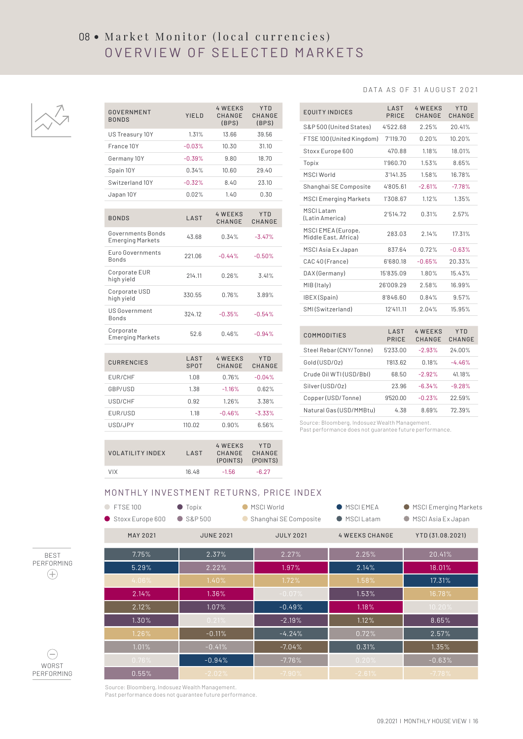## 08 • Market Monitor (local currencies) OVERVIEW OF SELECTED MARKETS



#### CURRENCIES LAST SPOT 4 WEEKS CHANGE **YTD** CHANGE EUR/CHF 1.08 0.76% -0.04% GBP/USD 1.38 -1.16% 0.62% USD/CHF 0.92 1.26% 3.38% EUR/USD 1.18 -0.46% -3.33% GOVERNMENT GOVERNMENT YIELD<br>BONDS YIELD 4 WEEKS CHANGE (BPS) Y TD CHANGE (BPS) US Treasury 10Y 1.31% 13.66 39.56 France 10Y -0.03% 10.30 31.10 Germany 10Y -0.39% 9.80 18.70 Spain 10Y 0.34% 10.60 29.40 Switzerland 10Y -0.32% 8.40 23.10 Japan 10Y 0.02% 1.40 0.30 BONDS LAST 4 WEEKS CHANGE Y TD CHANGE Governments Bonds Governments Bonds<br>Emerging Markets 43.68 0.34% -3.47% Euro Governments Bonds 221.06 -0.44% -0.50% Corporate EUR Corporate EUR 214.11 0.26% 3.41%<br>high yield Corporate USD high yield 330.55 0.76% 3.89% US Government Bonds 324.12 -0.35% -0.54% Corporate Emerging Markets 52.6 0.46% -0.94%

| <b>EQUITY INDICES</b>                      | LAST<br>PRICE | <b>4 WEEKS</b><br>CHANGE | <b>YTD</b><br>CHANGE |
|--------------------------------------------|---------------|--------------------------|----------------------|
| S&P 500 (United States)                    | 4'522.68      | 2.25%                    | 20.41%               |
| FTSE 100 (United Kingdom)                  | 7'119.70      | 0.20%                    | 10.20%               |
| Stoxx Europe 600                           | 470.88        | 1.18%                    | 18.01%               |
| Topix                                      | 1'960.70      | 1.53%                    | 8.65%                |
| <b>MSCI World</b>                          | 3'141.35      | 1.58%                    | 16.78%               |
| Shanghai SE Composite                      | 4'805.61      | $-2.61%$                 | $-7.78%$             |
| <b>MSCI Emerging Markets</b>               | 1'308.67      | 1.12%                    | 1.35%                |
| <b>MSCILatam</b><br>(Latin America)        | 2'514.72      | 0.31%                    | 2.57%                |
| MSCI EMEA (Europe,<br>Middle East, Africa) | 283.03        | 2.14%                    | 17.31%               |
| MSCI Asia Ex Japan                         | 837.64        | 0.72%                    | $-0.63%$             |
| CAC 40 (France)                            | 6'680.18      | $-0.65%$                 | 20.33%               |
| DAX (Germany)                              | 15'835.09     | 1.80%                    | 15.43%               |
| MIB (Italy)                                | 26'009.29     | 2.58%                    | 16.99%               |
| IBEX(Spain)                                | 8'846.60      | 0.84%                    | 9.57%                |
| SMI(Switzerland)                           | 12'411.11     | 2.04%                    | 15.95%               |
|                                            |               |                          |                      |
| <b>COMMODITIES</b>                         | LAST<br>PRICE | <b>4 WEEKS</b><br>CHANGE | YTD<br>CHANGE        |
| Steel Rebar (CNY/Tonne)                    | 5'233.00      | $-2.93%$                 | 24.00%               |
| Gold (USD/0z)                              | 1'813.62      | 0.18%                    | $-4.46%$             |
| Crude Oil WTI (USD/Bbl)                    | 68.50         | $-2.92%$                 | 41.18%               |
| Silver (USD/0z)                            | 23.96         | $-6.34%$                 | $-9.28%$             |
| Copper (USD/Tonne)                         | 9'520.00      | $-0.23%$                 | 22.59%               |
| Natural Gas (USD/MMBtu)                    | 4.38          | 8.69%                    | 72.39%               |

Source: Bloomberg, Indosuez Wealth Management. Past performance does not quarantee future performance.

| <b>VOLATILITY INDEX</b> | <b>LAST</b> | 4 WFFKS<br>CHANGE<br>(POINTS) | YTD.<br>CHANGE<br>(POINTS) |
|-------------------------|-------------|-------------------------------|----------------------------|
| <b>VIX</b>              | 16.48       | $-1.56$                       | $-6.27$                    |

USD/JPY 110.02 0.90% 6.56%

#### MONTHLY INVESTMENT RETURNS, PRICE INDEX

| <b>FTSE 100</b><br>Stoxx Europe 600 | $\bullet$ Topix<br>$\bullet$ S&P500 | ● MSCI World<br>● Shanghai SE Composite | <b>MSCIEMEA</b><br>● MSCII atam | ● MSCI Emerging Markets<br>● MSCI Asia Ex Japan |
|-------------------------------------|-------------------------------------|-----------------------------------------|---------------------------------|-------------------------------------------------|
| <b>MAY 2021</b>                     | <b>JUNE 2021</b>                    | <b>JULY 2021</b>                        | <b>4 WEEKS CHANGE</b>           | YTD (31.08.2021)                                |
| 7.75%                               | 2.37%                               | 2.27%                                   | 2.25%                           | 20.41%                                          |
| 5.29%                               | 2.22%                               | 1.97%                                   | 2.14%                           | 18.01%                                          |
| 4.06%                               | 1.40%                               | 1.72%                                   | 1.58%                           | 17.31%                                          |
| 2.14%                               | 1.36%                               | $-0.07%$                                | 1.53%                           | 16.78%                                          |
| 2.12%                               | 1.07%                               | $-0.49%$                                | 1.18%                           | 10.20%                                          |
| 1.30%                               | 0.21%                               | $-2.19%$                                | 1.12%                           | 8.65%                                           |
| 1.26%                               | $-0.11%$                            | $-4.24%$                                | 0.72%                           | 2.57%                                           |
| 1.01%                               | $-0.41%$                            | $-7.04%$                                | 0.31%                           | 1.35%                                           |
| 0.76%                               | $-0.94%$                            | $-7.76%$                                | 0.20%                           | $-0.63%$                                        |
| 0.55%                               | $-2.02%$                            | $-7.90%$                                | $-2.61%$                        | $-7.78%$                                        |





Source: Bloomberg, Indosuez Wealth Management.

Past performance does not guarantee future performance.

#### DATA AS OF 31 AUGUST 2021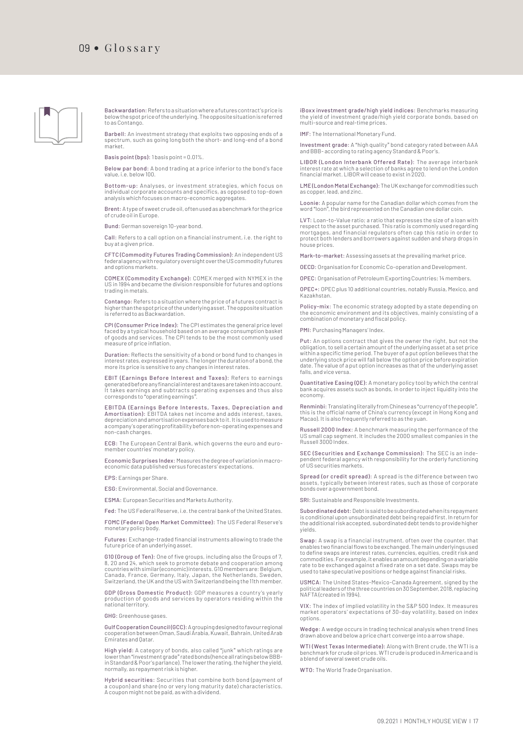

Backwardation: Refers to a situation where a futures contract's price is below the spot price of the underlying. The opposite situation is referred to as Contango.

Barbell: An investment strategy that exploits two opposing ends of a spectrum, such as going long both the short- and long-end of a bond market.

Basis point (bps): 1 basis point = 0.01%.

Below par bond: A bond trading at a price inferior to the bond's face value, i.e. below 100.

Bottom-up: Analyses, or investment strategies, which focus on individual corporate accounts and specifics, as opposed to top-down analysis which focuses on macro-economic aggregates.

Brent: A type of sweet crude oil, often used as a benchmark for the price of crude oil in Europe.

Bund: German sovereign 10-year bond.

Call: Refers to a call option on a financial instrument, i.e. the right to buy at a given price.

CFTC (Commodity Futures Trading Commission): An independent US federal agency with regulatory oversight over the US commodity futures and options markets.

COMEX (Commodity Exchange): COMEX merged with NYMEX in the US in 1994 and became the division responsible for futures and options trading in metals.

Contango: Refers to a situation where the price of a futures contract is higher than the spot price of the underlying asset. The opposite situation is referred to as Backwardation.

CPI (Consumer Price Index): The CPI estimates the general price level faced by a typical household based on an average consumption basket of goods and services. The CPI tends to be the most commonly used measure of price inflation.

Duration: Reflects the sensitivity of a bond or bond fund to changes in interest rates, expressed in years. The longer the duration of a bond, the more its price is sensitive to any changes in interest rates.

**EBIT (Earnings Before Interest and Taxes):** Refers to earnings<br>generatedbeforeanyfinancialinterestandtaxesaretakenintoaccount.<br>It takes earnings and subtracts operating expenses and thus also<br>correspondsto "operatingearni

EBITDA (Earnings Before Interests, Taxes, Depreciation and Amortisation): EBITDA takes net income and adds interest, taxes, depreciation and amortisation expenses back to it. It is used to measure a company's operating profitability before non-operating expenses and non-cash charges.

ECB: The European Central Bank, which governs the euro and euromember countries' monetary policy.

Economic Surprises Index: Measures the degree of variation in macroeconomic data published versus forecasters' expectations.

EPS: Earnings per Share.

ESG: Environmental, Social and Governance.

ESMA: European Securities and Markets Authority.

Fed: The US Federal Reserve, i.e. the central bank of the United States.

FOMC (Federal Open Market Committee): The US Federal Reserve's monetary policy body.

Futures: Exchange-traded financial instruments allowing to trade the future price of an underlying asset.

G10 (Group of Ten): One of five groups, including also the Groups of 7, 8, 20 and 24, which seek to promote debate and cooperation among countries with similar (economic) interests. G10 members are: Belgium, Canada, France, Germany, Italy, Japan, the Netherlands, Sweden, Switzerland, the UK and the US with Switzerland being the 11th member.

GDP (Gross Domestic Product): GDP measures a country 's yearly production of goods and services by operators residing within the national territory.

GHG: Greenhouse gases.

Gulf Cooperation Council (GCC): A grouping designed to favour regional cooperation between Oman, Saudi Arabia, Kuwait, Bahrain, United Arab Emirates and Qatar.

High yield: A category of bonds, also called "junk" which ratings are lower than "investment grade" rated bonds (hence all ratings below BBB-in Standard & Poor's parlance). The lower the rating, the higher the yield, normally, as repayment risk is higher.

Hybrid securities: Securities that combine both bond (payment of a coupon) and share (no or very long maturity date) characteristics. A coupon might not be paid, as with a dividend. iBoxx investment grade/high yield indices: Benchmarks measuring the yield of investment grade/high yield corporate bonds, based on multi-source and real-time prices.

IMF: The International Monetary Fund.

Investment grade: A "high quality" bond category rated between AAA and BBB- according to rating agency Standard & Poor's.

LIBOR (London Interbank Offered Rate): The average interbank interest rate at which a selection of banks agree to lend on the London financial market. LIBOR will cease to exist in 2020.

LME (London Metal Exchange): The UK exchange for commodities such as copper, lead, and zinc.

Loonie: A popular name for the Canadian dollar which comes from the word "loon", the bird represented on the Canadian one dollar coin.

LVT: Loan-to-Value ratio; a ratio that expresses the size of a loan with respect to the asset purchased. This ratio is commonly used regarding mortgages, and financial regulators often cap this ratio in order to protect both lenders and borrowers against sudden and sharp drops in house prices.

Mark-to-market: Assessing assets at the prevailing market price.

OECD: Organisation for Economic Co-operation and Development.

OPEC: Organisation of Petroleum Exporting Countries; 14 members.

OPEC+: OPEC plus 10 additional countries, notably Russia, Mexico, and Kazakhstan.

Policy-mix: The economic strategy adopted by a state depending on the economic environment and its objectives, mainly consisting of a combination of monetary and fiscal policy.

PMI: Purchasing Managers' Index.

Put: An options contract that gives the owner the right, but not the obligation, to sell a certain amount of the underlying asset at a set price within a specific time period. The buyer of a put option believes that the underlying stock price will fall below the option price before expiration date. The value of a put option increases as that of the underlying asset falls, and vice versa.

Quantitative Easing (QE): A monetary policy tool by which the central bank acquires assets such as bonds, in order to inject liquidity into the economy.

Renminbi: Translating literally from Chinese as "currency of the people", this is the official name of China's currency (except in Hong Kong and Macao). It is also frequently referred to as the yuan.

Russell 2000 Index: A benchmark measuring the performance of the US small cap segment. It includes the 2000 smallest companies in the Russell 3000 Index.

SEC (Securities and Exchange Commission): The SEC is an independent federal agency with responsibility for the orderly functioning of US securities markets.

Spread (or credit spread): A spread is the difference between two assets, typically between interest rates, such as those of corporate bonds over a government bond.

SRI: Sustainable and Responsible Investments.

Subordinated debt: Debt is said to be subordinated when its repayment is conditional upon unsubordinated debt being repaid first. In return for the additional risk accepted, subordinated debt tends to provide higher yields.

Swap: A swap is a financial instrument, often over the counter, that enables two financial flows to be exchanged. The main underlyings used to define swaps are interest rates, currencies, equities, credit risk and commodities. For example, it enables an amount depending on a variable rate to be exchanged against a fixed rate on a set date. Swaps may be used to take speculative positions or hedge against financial risks.

USMCA: The United States-Mexico-Canada Agreement, signed by the political leaders of the three countries on 30 September, 2018, replacing NAFTA (created in 1994).

VIX: The index of implied volatility in the S&P 500 Index. It measures market operators' expectations of 30-day volatility, based on index options.

Wedge: A wedge occurs in trading technical analysis when trend lines drawn above and below a price chart converge into a arrow shape.

WTI (West Texas Intermediate): Along with Brent crude, the WTI is a benchmark for crude oil prices. WTI crude is produced in America and is a blend of several sweet crude oils.

WTO: The World Trade Organisation.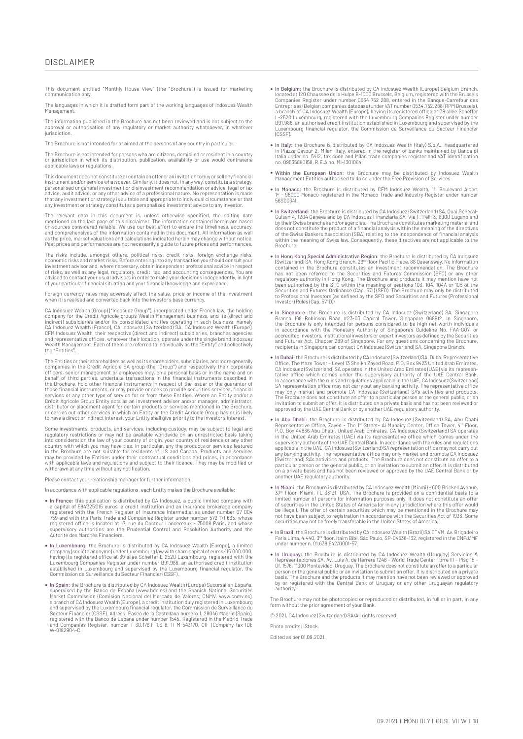This document entitled "Monthly House View" (the "Brochure") is issued for marketing communication only.

The languages in which it is drafted form part of the working languages of Indosuez Wealth Management.

The information published in the Brochure has not been reviewed and is not subject to the a manufacture parallel in the accuratories in the contribution and the temperature of the proval or authorisation of any regulatory or market authority whatsoever, in whate jurisdiction.

The Brochure is not intended for or aimed at the persons of any country in particular.

The Brochure is not intended for persons who are citizens, domiciled or resident in a country or jurisdiction in which its distribution, publication, availability or use would contravene applicable laws or regulations.

This document does not constitute or contain an offer or an invitation to buy or sell any financial instrument and/or service whatsoever. Similarly, it does not, in any way, constitute a strategy, personalised or general investment or disinvestment recommendation or advice, legal or tax<br>advice, audit advice, or any other advice of a professional nature. No representation is made<br>that any investment or strategy is su any investment or strategy constitutes a personalised investment advice to any investor.

The relevant date in this document is, unless otherwise specified, the editing date<br>mentioned on the last page of this disclaimer. The information contained herein are based<br>on sources considered reliable. We use our best and comprehensives of the information contained in this document. All information as well<br>as the price, market valuations and calculations indicated herein may change without notice.<br>Past prices and performances are not ne

The risks include, amongst others, political risks, credit risks, foreign exchange risks, economic risks and market risks. Before entering into any transaction you should consult your<br>investment advisor and, where necessary, obtain independent professional advice in respect<br>of risks, as well as any legal, regul of your particular financial situation and your financial knowledge and experience

Foreign currency rates may adversely affect the value, price or income of the investment when it is realised and converted back into the investor's base currency.

CA Indosuez Wealth (Group) ("Indosuez Group"), incorporated under French law, the holding company for the Crédit Agricole group's Wealth Management business, and its (direct and indirect) subsidiaries and/or its consolidated entities operating in such business, namely CA Indosuez Wealth (France), CA Indosuez (Switzerland) SA, CA Indosuez Wealth (Europe), CFM Indosuez Wealth, their respective (direct and indirect) subsidiaries, branches agencies<br>and representative offices, whatever their location, operate under the single brand Indosuez<br>Wealth Management. Each of them are r the "Entities".

The Entities or their shareholders as well as its shareholders, subsidiaries, and more generally<br>companies in the Crédit Agricole SA group (the "Group") and respectively their corporate<br>officers, senior management or emplo services or any other type of service for or from these Entities. Where an Entity and/or a<br>Crédit Agricole Group Entity acts as an investment adviser and/or manager, administrator,<br>distributor or placement agent for certai or carries out other services in which an Entity or the Crédit Agricole Group has or is likely to have a direct or indirect interest, your Entity shall give priority to the investor's interest.

Some investments, products, and services, including custody, may be subject to legal and regulatory restrictions or may not be available worldwide on an unrestricted basis taking into consideration the law of your country of origin, your country of residence or any other<br>country with which you may have ties. In particular, any the products or services featured<br>in the Brochure are not suitable for r may be provided by Entities under their contractual conditions and prices, in accordance<br>with applicable laws and regulations and subject to their licence. They may be modified or<br>withdrawn at any time without any notifica

Please contact your relationship manager for further information.

In accordance with applicable regulations, each Entity makes the Brochure available:

- In France: this publication is distributed by CA Indosuez, a public limited company with a capital of 584325'015 euros, a credit institution and an insurance brokerage company<br>registered with the French Register of Insurance Intermediaries under number 07 004<br>759 and with the Paris Trade and Companies Register registered office is located at 17, rue du Docteur Lancereaux - 75008 Paris, and whose supervisory authorities are the Prudential Control and Resolution Authority and the Autorité des Marchés Financiers.
- In Luxembourg: the Brochure is distributed by CA Indosuez Wealth (Europe), a limited company (société anonyme) under Luxembourg law with share capital of euros 415.000.000, having its registered office at 39 allée Scheff Commission de Surveillance du Secteur Financier (CSSF).
- The Spain: the Brochure is distributed by CA Indosuez Wealth (Europe) Sucursal en España,<br>supervised by the Banco de España (www.bde.es) and the Spanish National Securities<br>Market Commission (Comision Nacional del Mercado a branch of CA Indosuez Wealth (Europe), a credit institution duly registered in Luxembourg<br>and supervised by the Luxembourg financial regulator, the Commission de Surveillance du<br>Secteur Financier (CSSF). Adress: Paseo de
- In Belgium: the Brochure is distributed by CA Indosuez Wealth (Europe) Belgium Branch, located at 120 Chaussée de la Hulpe B-1000 Brussels, Belgium, registered with the Brussels<br>Companies Register under number 0534 752 288, entered in the Banque-Carrefour des<br>Entreprises (Belgian companies database) under VA a branch of CA Indosuez Wealth (Europe), having its registered office at 39 allée Scheffer<br>L-2520 Luxembourg, registered with the Luxembourg Companies Register under number<br>B91.986, an authorised credit institution establi Luxembourg financial regulator, the Commission de Surveillance du Secteur Financier  $(C)$
- The Italy: the Brochure is distributed by CA Indosuez Wealth (Italy) S.p.A., headquartered<br>in Plazza Cavour 2, Milan, Italy, entered in the register of banks maintained by Banca di<br>Italia under no. 5412, tax code and Milan no. 09535880158, R.E.A no. MI-1301064.
- Within the European Union: the Brochure may be distributed by Indosuez Wealth Management Entities authorised to do so under the Free Provision of Services.
- In Monaco: the Brochure is distributed by CFM Indosuez Wealth, 11, Boulevard Albert 1er 98000 Monaco registered in the Monaco Trade and Industry Register under number 56S00341.
- In Switzerland: the Brochure is distributed by CA Indosuez (Switzerland) SA, Quai Général-Guisan 4, 1204 Geneva and by CA Indosuez Finanziaria SA, Via F. Pelli 3, 6900 Lugano and by their Swiss branches and/or agencies. The Brochure constitutes marketing material and<br>does not constitute the product of a financial analysis within the meaning of the directives<br>of the Swiss Bankers Association (SBA) r within the meaning of Swiss law. Consequently, these directives are not applicable to the Brochure.
- In Hong Kong Special Administrative Region: the Brochure is distributed by CA Indosuez (Switzerland) SA, Hong Kong Branch, 29<sup>th</sup> floor Pacific Place, 88 Queensway. No information the Brochure has not been referred to t Investor) Rules (Cap. 571D)).
- In Singapore: the Brochure is distributed by CA Indosuez (Switzerland) SA, Singapore Branch 168 Robinson Road #23-03 Capital Tower, Singapore 068912. In Singapore, the Brochure is only intended for persons considered to and Futures Act, Chapter 289 of Singapore. For any questions concerning the Brochure, recipients in Singapore can contact CA Indosuez (Switzerland) SA, Singapore Branch.
- In Dubai: the Brochure is distributed by CA Indosuez (Switzerland) SA, Dubai Representative Office, The Maze Tower Level 13 Sheikh Zayed Road, P.O. Box 9423 United Arab Emiretes. CA Indosuez (Switzerland) SA operates The Brochure does not constitute an offer to a particular person or the general public, or an invitation to submit an offer. It is distributed on a private basis and has not been reviewed or approved by the UAE Central Bank or by another UAE regulatory authority.
- In Abu Dhabi: the Brochure is distributed by CA Indosuez (Switzerland) SA, Abu Dhabi<br>Representative Office, Zayed The I''' Street- Al Muhairy Center, Office Tower, 4''' Floor,<br>P.O. Box 44836 Abu Dhabi, United Arab Emir in the United Arab Emirates (UAE) via its representative office which comes under the supervisory authority of the UAE Central Bank. In accordance with the rules and regulations applicable in the UAE, CA Indosuez (Switzerland) SA representation office may not carry out any banking activity. The representative office may only market and promote CA Indosuez<br>(Switzerland) SA's activities and products. The Brochure does not constitute an offer to a<br>particular person or the general public, or on a private basis and has not been reviewed or approved by the UAE Central Bank or by another UAE regulatory authority.
- In Miami: the Brochure is distributed by CA Indosuez Wealth (Miami) 600 Brickell Avenue, 37th Floor, Miami, FL 33131, USA. The Brochure is provided on a confidential basis to a limited number of persons for information purposes only. It does not constitute an offer<br>of securities in the United States of America (or in any jurisdiction where this offer would<br>be illegal). The offer of certain securi securities may not be freely transferable in the United States of America;
- The Brazil: the Brochure is distributed by CA Indosuez Wealth (Brazil) SA DTVM, Av. Brigadeiro<br>Faria Lima, 4.440, 3ª floor, Itaim Bibi, São Paulo, SP-04538-132, registered in the CNPJ/MF<br>under number n. 01.638.542/0001-57.
- In Uruguay: the Brochure is distributed by CA Indosuez Wealth (Uruguay) Servicios & Representaciones SA, Av. Luis A. de Herrera 1248 World Trade Center Torre III Piso 15 Of. 1576, 11300 Montevideo, Uruguay. The Brochure does not constitute an offer to a particular<br>person or the general public or an invitation to submit an offer. It is distributed on a private<br>basis. The Brochure and the pr by or registered with the Central Bank of Uruguay or any other Uruguayan regulatory authority.

The Brochure may not be photocopied or reproduced or distributed, in full or in part, in any form without the prior agreement of your Bank.

© 2021, CA Indosuez (Switzerland) SA/All rights reserved.

Photo credits: iStock.

Edited as per 01.09.2021.